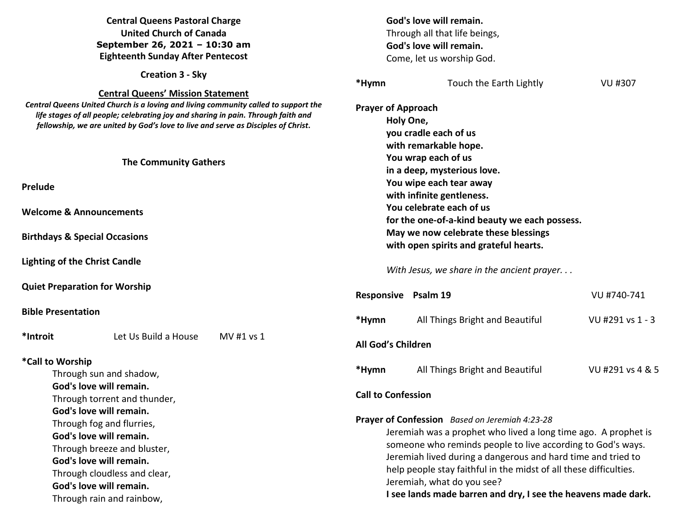# **Central Queens Pastoral Charge United Church of Canada September 26, 2021 – 10:30 am Eighteenth Sunday After Pentecost**

**Creation 3 - Sky** 

### **Central Queens' Mission Statement**

 *Central Queens United Church is a loving and living community called to support the life stages of all people; celebrating joy and sharing in pain. Through faith fellowship, we are united by God's love to live and serve as Disciples of Christ***.** 

#### **The Community Gathers**

**Prelude** 

**Welcome & Announcements** 

**Birthdays & Special Occasions** 

**Lighting of the Christ Candle** 

**Quiet Preparation for Worship**

**Bible Presentation** 

**\*Introit** Let Us Build a House MV #1 vs 1

## **\*Call to Worship**

Through sun and shadow, **God's love will remain.**  Through torrent and thunder, **God's love will remain.**  Through fog and flurries, **God's love will remain.**  Through breeze and bluster, **God's love will remain.**  Through cloudless and clear, **God's love will remain.** Through rain and rainbow,

|                             |                                                                                                                                                                                                                                                                                                                                                                                                                     | God's love will remain.<br>Through all that life beings,<br>God's love will remain.<br>Come, let us worship God. |                  |  |  |  |
|-----------------------------|---------------------------------------------------------------------------------------------------------------------------------------------------------------------------------------------------------------------------------------------------------------------------------------------------------------------------------------------------------------------------------------------------------------------|------------------------------------------------------------------------------------------------------------------|------------------|--|--|--|
|                             | *Hymn                                                                                                                                                                                                                                                                                                                                                                                                               | Touch the Earth Lightly                                                                                          | VU #307          |  |  |  |
| port the<br>h and<br>hrist. | <b>Prayer of Approach</b><br>Holy One,<br>you cradle each of us<br>with remarkable hope.<br>You wrap each of us<br>in a deep, mysterious love.<br>You wipe each tear away<br>with infinite gentleness.<br>You celebrate each of us<br>for the one-of-a-kind beauty we each possess.<br>May we now celebrate these blessings<br>with open spirits and grateful hearts.<br>With Jesus, we share in the ancient prayer |                                                                                                                  |                  |  |  |  |
|                             | Responsive                                                                                                                                                                                                                                                                                                                                                                                                          | Psalm 19                                                                                                         | VU #740-741      |  |  |  |
|                             | *Hymn                                                                                                                                                                                                                                                                                                                                                                                                               | All Things Bright and Beautiful                                                                                  | VU #291 vs 1 - 3 |  |  |  |
|                             | <b>All God's Children</b>                                                                                                                                                                                                                                                                                                                                                                                           |                                                                                                                  |                  |  |  |  |
|                             | *Hymn                                                                                                                                                                                                                                                                                                                                                                                                               | All Things Bright and Beautiful                                                                                  | VU #291 vs 4 & 5 |  |  |  |
|                             | <b>Call to Confession</b>                                                                                                                                                                                                                                                                                                                                                                                           |                                                                                                                  |                  |  |  |  |
|                             | Prayer of Confession Based on Jeremiah 4:23-28<br>Jeremiah was a prophet who lived a long time ago. A prophet is<br>someone who reminds people to live according to God's ways.<br>Jeremiah lived during a dangerous and hard time and tried to<br>help people stay faithful in the midst of all these difficulties.                                                                                                |                                                                                                                  |                  |  |  |  |

Jeremiah, what do you see?

**I see lands made barren and dry, I see the heavens made dark.**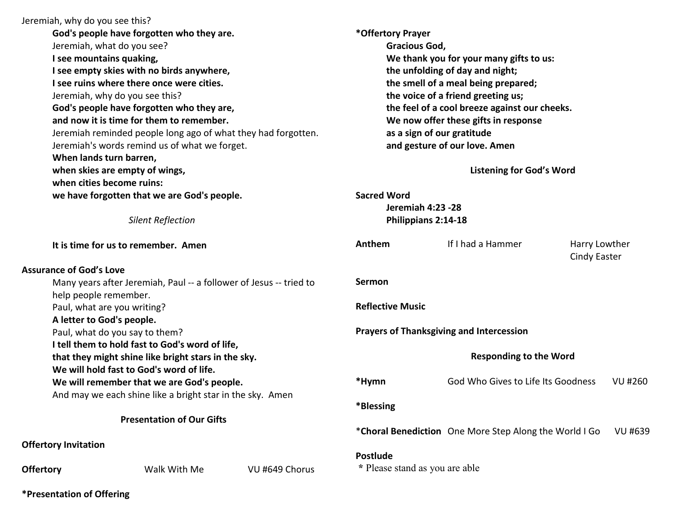|                                                                                             | Jeremiah, why do you see this?                                |                |                                                                                     |                                                        |  |                |
|---------------------------------------------------------------------------------------------|---------------------------------------------------------------|----------------|-------------------------------------------------------------------------------------|--------------------------------------------------------|--|----------------|
| God's people have forgotten who they are.                                                   |                                                               |                | *Offertory Prayer                                                                   |                                                        |  |                |
| Jeremiah, what do you see?                                                                  |                                                               |                | <b>Gracious God,</b>                                                                |                                                        |  |                |
| I see mountains quaking,                                                                    |                                                               |                | We thank you for your many gifts to us:                                             |                                                        |  |                |
|                                                                                             | I see empty skies with no birds anywhere,                     |                | the unfolding of day and night;                                                     |                                                        |  |                |
|                                                                                             | I see ruins where there once were cities.                     |                | the smell of a meal being prepared;                                                 |                                                        |  |                |
|                                                                                             | Jeremiah, why do you see this?                                |                | the voice of a friend greeting us;<br>the feel of a cool breeze against our cheeks. |                                                        |  |                |
|                                                                                             | God's people have forgotten who they are,                     |                |                                                                                     |                                                        |  |                |
|                                                                                             | and now it is time for them to remember.                      |                | We now offer these gifts in response                                                |                                                        |  |                |
|                                                                                             | Jeremiah reminded people long ago of what they had forgotten. |                | as a sign of our gratitude                                                          |                                                        |  |                |
|                                                                                             | Jeremiah's words remind us of what we forget.                 |                | and gesture of our love. Amen                                                       |                                                        |  |                |
|                                                                                             | When lands turn barren,                                       |                |                                                                                     |                                                        |  |                |
|                                                                                             | when skies are empty of wings,                                |                | <b>Listening for God's Word</b>                                                     |                                                        |  |                |
|                                                                                             | when cities become ruins:                                     |                |                                                                                     |                                                        |  |                |
|                                                                                             | we have forgotten that we are God's people.                   |                | <b>Sacred Word</b>                                                                  |                                                        |  |                |
|                                                                                             |                                                               |                | <b>Jeremiah 4:23 -28</b>                                                            |                                                        |  |                |
| <b>Silent Reflection</b>                                                                    |                                                               |                | Philippians 2:14-18                                                                 |                                                        |  |                |
| It is time for us to remember. Amen                                                         |                                                               |                | Anthem                                                                              | If I had a Hammer<br>Harry Lowther<br>Cindy Easter     |  |                |
|                                                                                             | <b>Assurance of God's Love</b>                                |                |                                                                                     |                                                        |  |                |
| Many years after Jeremiah, Paul -- a follower of Jesus -- tried to<br>help people remember. |                                                               |                | Sermon                                                                              |                                                        |  |                |
| Paul, what are you writing?                                                                 |                                                               |                | <b>Reflective Music</b>                                                             |                                                        |  |                |
|                                                                                             | A letter to God's people.                                     |                |                                                                                     |                                                        |  |                |
| Paul, what do you say to them?                                                              |                                                               |                | <b>Prayers of Thanksgiving and Intercession</b>                                     |                                                        |  |                |
|                                                                                             | I tell them to hold fast to God's word of life,               |                |                                                                                     |                                                        |  |                |
| that they might shine like bright stars in the sky.                                         |                                                               |                | <b>Responding to the Word</b>                                                       |                                                        |  |                |
|                                                                                             | We will hold fast to God's word of life.                      |                |                                                                                     |                                                        |  |                |
| We will remember that we are God's people.                                                  |                                                               |                | *Hymn                                                                               | God Who Gives to Life Its Goodness                     |  | <b>VU #260</b> |
| And may we each shine like a bright star in the sky. Amen                                   |                                                               |                |                                                                                     |                                                        |  |                |
|                                                                                             |                                                               |                | *Blessing                                                                           |                                                        |  |                |
| <b>Presentation of Our Gifts</b>                                                            |                                                               |                |                                                                                     |                                                        |  |                |
|                                                                                             |                                                               |                |                                                                                     | *Choral Benediction One More Step Along the World I Go |  | VU #639        |
|                                                                                             | <b>Offertory Invitation</b>                                   |                |                                                                                     |                                                        |  |                |
|                                                                                             |                                                               |                | <b>Postlude</b><br>* Please stand as you are able                                   |                                                        |  |                |
| <b>Offertory</b>                                                                            | Walk With Me                                                  | VU #649 Chorus |                                                                                     |                                                        |  |                |

**\*Presentation of Offering**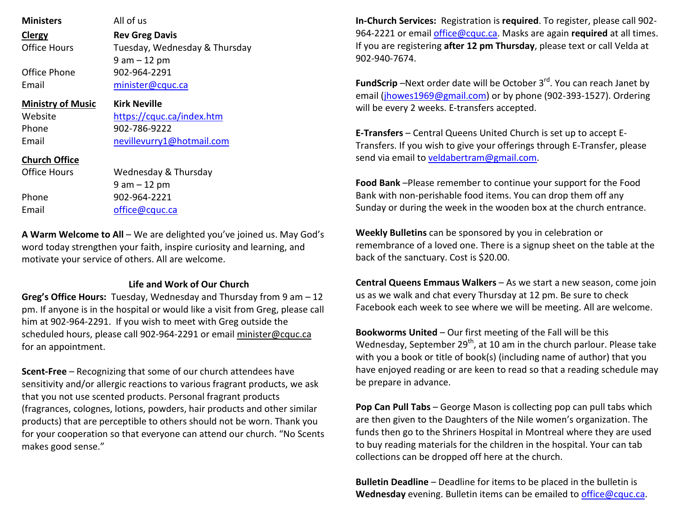| <b>Ministers</b><br>Clergy<br>Office Hours<br>Office Phone<br>Email | All of us<br><b>Rev Greg Davis</b><br>Tuesday, Wednesday & Thursday<br>$9$ am $-12$ pm<br>902-964-2291<br>minister@cquc.ca |
|---------------------------------------------------------------------|----------------------------------------------------------------------------------------------------------------------------|
| <b>Ministry of Music</b>                                            | <b>Kirk Neville</b>                                                                                                        |
| Website                                                             | https://cquc.ca/index.htm                                                                                                  |
| Phone                                                               | 902-786-9222                                                                                                               |
| Email                                                               | nevillevurry1@hotmail.com                                                                                                  |
| <b>Church Office</b>                                                | Wednesday & Thursday                                                                                                       |
| Office Hours                                                        | 9 am – 12 pm                                                                                                               |
| Phone                                                               | 902-964-2221                                                                                                               |
| Fmail                                                               | office@cquc.ca                                                                                                             |

**A Warm Welcome to All** – We are delighted you've joined us. May God's word today strengthen your faith, inspire curiosity and learning, and motivate your service of others. All are welcome.

# **Life and Work of Our Church**

**Greg's Office Hours:** Tuesday, Wednesday and Thursday from 9 am – 12 pm. If anyone is in the hospital or would like a visit from Greg, please call him at 902-964-2291. If you wish to meet with Greg outside the scheduled hours, please call 902-964-2291 or email minister@cquc.ca for an appointment.

**Scent-Free** – Recognizing that some of our church attendees have sensitivity and/or allergic reactions to various fragrant products, we ask that you not use scented products. Personal fragrant products (fragrances, colognes, lotions, powders, hair products and other similar products) that are perceptible to others should not be worn. Thank you for your cooperation so that everyone can attend our church. "No Scents makes good sense."

**In-Church Services:** Registration is **required**. To register, please call 902- 964-2221 or email office@cquc.ca. Masks are again **required** at all times. If you are registering **after 12 pm Thursday**, please text or call Velda at 902-940-7674.

**FundScrip** –Next order date will be October 3<sup>rd</sup>. You can reach Janet by email (jhowes1969@gmail.com) or by phone (902-393-1527). Ordering will be every 2 weeks. E-transfers accepted.

**E-Transfers** – Central Queens United Church is set up to accept E-Transfers. If you wish to give your offerings through E-Transfer, please send via email to veldabertram@gmail.com.

**Food Bank** –Please remember to continue your support for the Food Bank with non-perishable food items. You can drop them off any Sunday or during the week in the wooden box at the church entrance.

**Weekly Bulletins** can be sponsored by you in celebration or remembrance of a loved one. There is a signup sheet on the table at the back of the sanctuary. Cost is \$20.00.

**Central Queens Emmaus Walkers** – As we start a new season, come join us as we walk and chat every Thursday at 12 pm. Be sure to check Facebook each week to see where we will be meeting. All are welcome.

**Bookworms United** – Our first meeting of the Fall will be thisWednesday, September 29<sup>th</sup>, at 10 am in the church parlour. Please take with you a book or title of book(s) (including name of author) that you have enjoyed reading or are keen to read so that a reading schedule may be prepare in advance.

**Pop Can Pull Tabs** – George Mason is collecting pop can pull tabs which are then given to the Daughters of the Nile women's organization. The funds then go to the Shriners Hospital in Montreal where they are used to buy reading materials for the children in the hospital. Your can tab collections can be dropped off here at the church.

**Bulletin Deadline** – Deadline for items to be placed in the bulletin is **Wednesday** evening. Bulletin items can be emailed to office@cquc.ca.